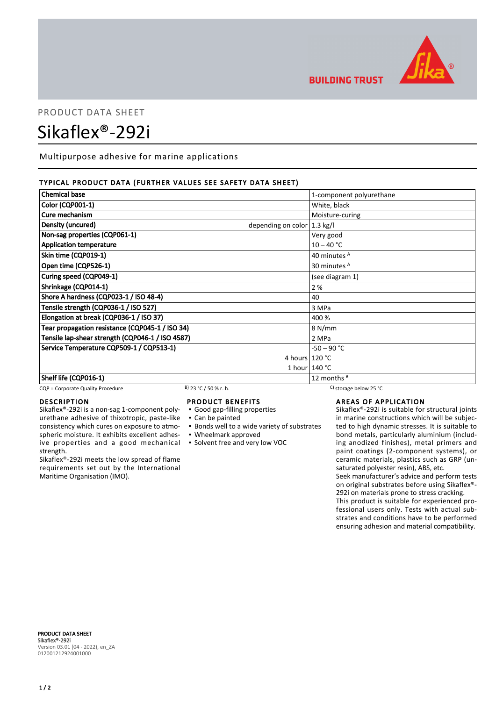

**BUILDING TRUST** 

# PRODUCT DATA SHEET Sikaflex®-292i

Multipurpose adhesive for marine applications

# TYPICAL PRODUCT DATA (FURTHER VALUES SEE SAFETY DATA SHEET)

| <b>Chemical base</b>                                         | 1-component polyurethane |
|--------------------------------------------------------------|--------------------------|
| <b>Color (CQP001-1)</b>                                      | White, black             |
| Cure mechanism                                               | Moisture-curing          |
| Density (uncured)<br>depending on color $ 1.3 \text{ kg}/I $ |                          |
| Non-sag properties (CQP061-1)                                | Very good                |
| <b>Application temperature</b>                               | $10 - 40 °C$             |
| Skin time (CQP019-1)                                         | 40 minutes <sup>A</sup>  |
| Open time (CQP526-1)                                         | 30 minutes <sup>A</sup>  |
| Curing speed (CQP049-1)                                      | (see diagram 1)          |
| Shrinkage (CQP014-1)                                         | 2%                       |
| Shore A hardness (CQP023-1 / ISO 48-4)                       | 40                       |
| Tensile strength (CQP036-1 / ISO 527)                        | 3 MPa                    |
| Elongation at break (CQP036-1 / ISO 37)                      | 400 %                    |
| Tear propagation resistance (CQP045-1 / ISO 34)              | 8 N/mm                   |
| Tensile lap-shear strength (CQP046-1 / ISO 4587)             | 2 MPa                    |
| Service Temperature CQP509-1 / CQP513-1)                     | -50 – 90 °C              |
|                                                              | 4 hours $120 °C$         |
|                                                              | 1 hour $140 °C$          |
| Shelf life (CQP016-1)                                        | 12 months $B$            |

#### CQP = Corporate Quality Procedure B) 23 °C / 50 % r. h. C) storage below 25 °C

#### DESCRIPTION

Sikaflex®-292i is a non-sag 1-component polyurethane adhesive of thixotropic, paste-like consistency which cures on exposure to atmospheric moisture. It exhibits excellent adhesive properties and a good mechanical strength.

Sikaflex®-292i meets the low spread of flame requirements set out by the International Maritime Organisation (IMO).

#### PRODUCT BENEFITS

- Good gap-filling properties
- Can be painted
- **Bonds well to a wide variety of substrates**
- Wheelmark approved
- Solvent free and very low VOC

AREAS OF APPLICATION

Sikaflex®-292i is suitable for structural joints in marine constructions which will be subjected to high dynamic stresses. It is suitable to bond metals, particularly aluminium (including anodized finishes), metal primers and paint coatings (2-component systems), or ceramic materials, plastics such as GRP (unsaturated polyester resin), ABS, etc.

Seek manufacturer's advice and perform tests on original substrates before using Sikaflex®- 292i on materials prone to stress cracking.

This product is suitable for experienced professional users only. Tests with actual substrates and conditions have to be performed ensuring adhesion and material compatibility.